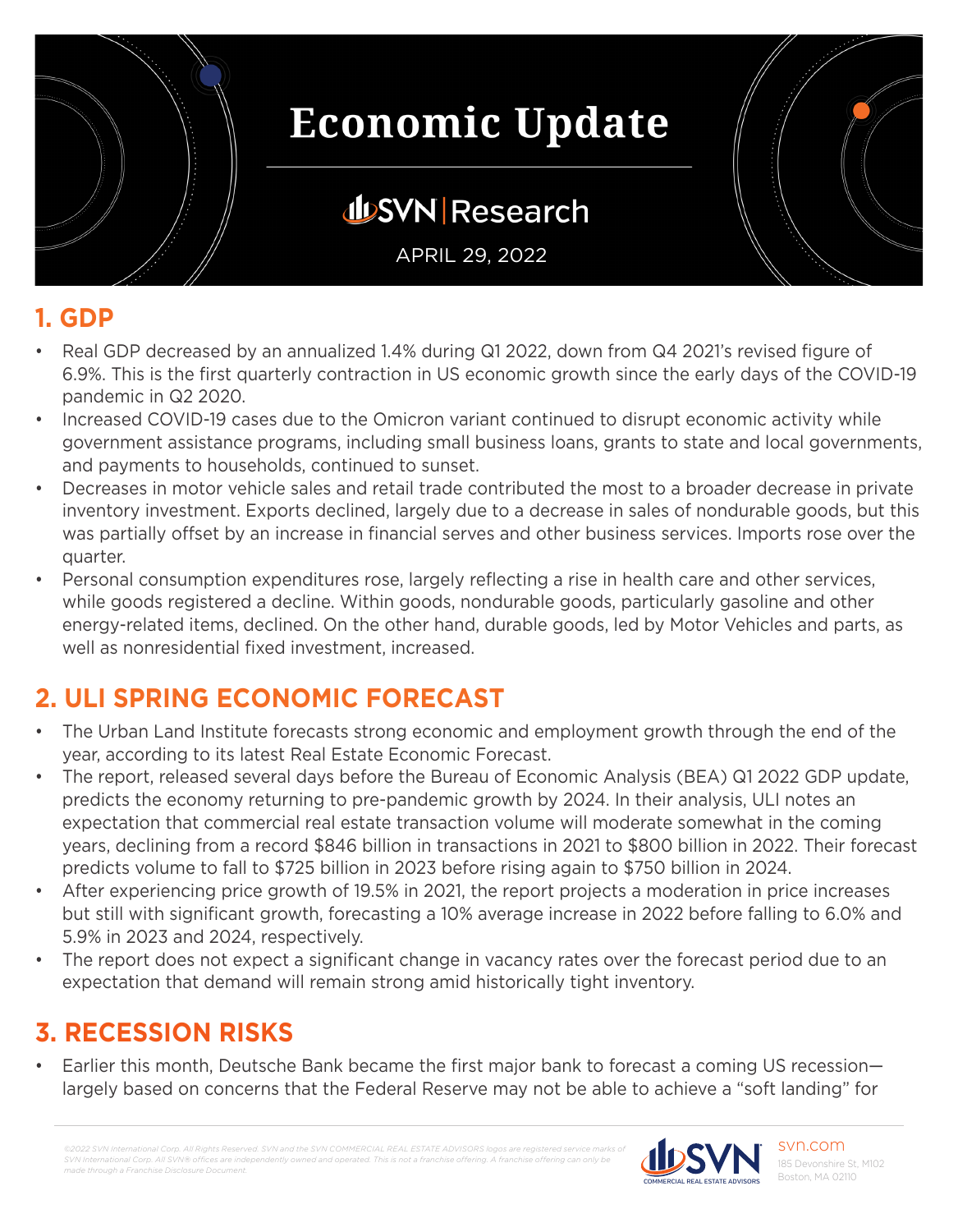

## **JUSVN Research**

APRIL 29, 2022

#### **1. GDP**

- Real GDP decreased by an annualized 1.4% during Q1 2022, down from Q4 2021's revised figure of 6.9%. This is the first quarterly contraction in US economic growth since the early days of the COVID-19 pandemic in Q2 2020.
- Increased COVID-19 cases due to the Omicron variant continued to disrupt economic activity while government assistance programs, including small business loans, grants to state and local governments, and payments to households, continued to sunset.
- Decreases in motor vehicle sales and retail trade contributed the most to a broader decrease in private inventory investment. Exports declined, largely due to a decrease in sales of nondurable goods, but this was partially offset by an increase in financial serves and other business services. Imports rose over the quarter.
- Personal consumption expenditures rose, largely reflecting a rise in health care and other services, while goods registered a decline. Within goods, nondurable goods, particularly gasoline and other energy-related items, declined. On the other hand, durable goods, led by Motor Vehicles and parts, as well as nonresidential fixed investment, increased.

## **2. ULI SPRING ECONOMIC FORECAST**

- The Urban Land Institute forecasts strong economic and employment growth through the end of the year, according to its latest Real Estate Economic Forecast.
- The report, released several days before the Bureau of Economic Analysis (BEA) Q1 2022 GDP update, predicts the economy returning to pre-pandemic growth by 2024. In their analysis, ULI notes an expectation that commercial real estate transaction volume will moderate somewhat in the coming years, declining from a record \$846 billion in transactions in 2021 to \$800 billion in 2022. Their forecast predicts volume to fall to \$725 billion in 2023 before rising again to \$750 billion in 2024.
- After experiencing price growth of 19.5% in 2021, the report projects a moderation in price increases but still with significant growth, forecasting a 10% average increase in 2022 before falling to 6.0% and 5.9% in 2023 and 2024, respectively.
- The report does not expect a significant change in vacancy rates over the forecast period due to an expectation that demand will remain strong amid historically tight inventory.

#### **3. RECESSION RISKS**

• Earlier this month, Deutsche Bank became the first major bank to forecast a coming US recession largely based on concerns that the Federal Reserve may not be able to achieve a "soft landing" for

*©2022 SVN International Corp. All Rights Reserved. SVN and the SVN COMMERCIAL REAL ESTATE ADVISORS logos are registered service marks of SVN International Corp. All SVN® offices are independently owned and operated. This is not a franchise offering. A franchise offering can only be made through a Franchise Disclosure Document.*

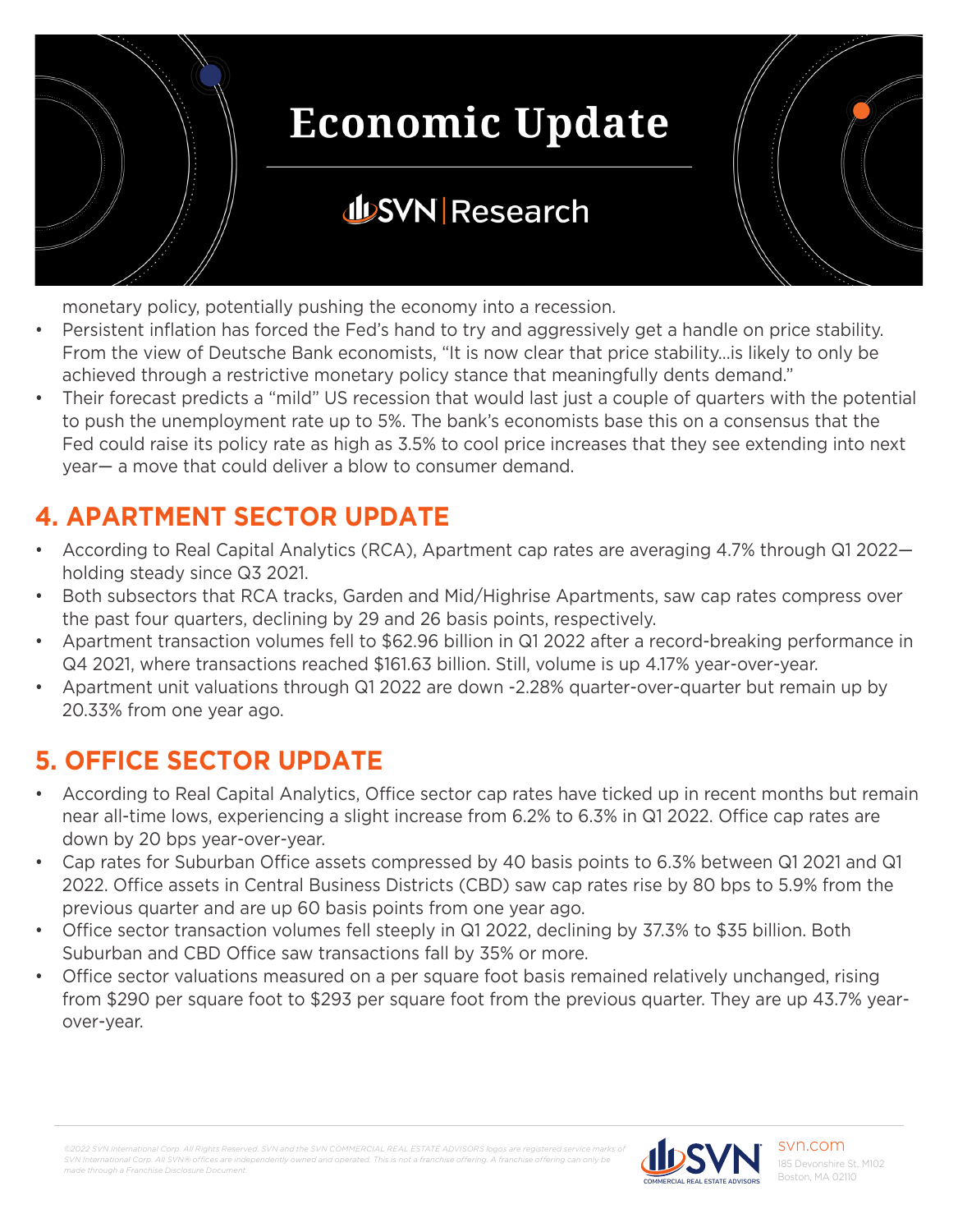

## **JUSVN Research**

monetary policy, potentially pushing the economy into a recession.

- Persistent inflation has forced the Fed's hand to try and aggressively get a handle on price stability. From the view of Deutsche Bank economists, "It is now clear that price stability...is likely to only be achieved through a restrictive monetary policy stance that meaningfully dents demand."
- Their forecast predicts a "mild" US recession that would last just a couple of quarters with the potential to push the unemployment rate up to 5%. The bank's economists base this on a consensus that the Fed could raise its policy rate as high as 3.5% to cool price increases that they see extending into next year— a move that could deliver a blow to consumer demand.

### **4. APARTMENT SECTOR UPDATE**

- According to Real Capital Analytics (RCA), Apartment cap rates are averaging 4.7% through Q1 2022 holding steady since Q3 2021.
- Both subsectors that RCA tracks, Garden and Mid/Highrise Apartments, saw cap rates compress over the past four quarters, declining by 29 and 26 basis points, respectively.
- Apartment transaction volumes fell to \$62.96 billion in Q1 2022 after a record-breaking performance in Q4 2021, where transactions reached \$161.63 billion. Still, volume is up 4.17% year-over-year.
- Apartment unit valuations through Q1 2022 are down -2.28% quarter-over-quarter but remain up by 20.33% from one year ago.

#### **5. OFFICE SECTOR UPDATE**

- According to Real Capital Analytics, Office sector cap rates have ticked up in recent months but remain near all-time lows, experiencing a slight increase from 6.2% to 6.3% in Q1 2022. Office cap rates are down by 20 bps year-over-year.
- Cap rates for Suburban Office assets compressed by 40 basis points to 6.3% between Q1 2021 and Q1 2022. Office assets in Central Business Districts (CBD) saw cap rates rise by 80 bps to 5.9% from the previous quarter and are up 60 basis points from one year ago.
- Office sector transaction volumes fell steeply in Q1 2022, declining by 37.3% to \$35 billion. Both Suburban and CBD Office saw transactions fall by 35% or more.
- Office sector valuations measured on a per square foot basis remained relatively unchanged, rising from \$290 per square foot to \$293 per square foot from the previous quarter. They are up 43.7% yearover-year.

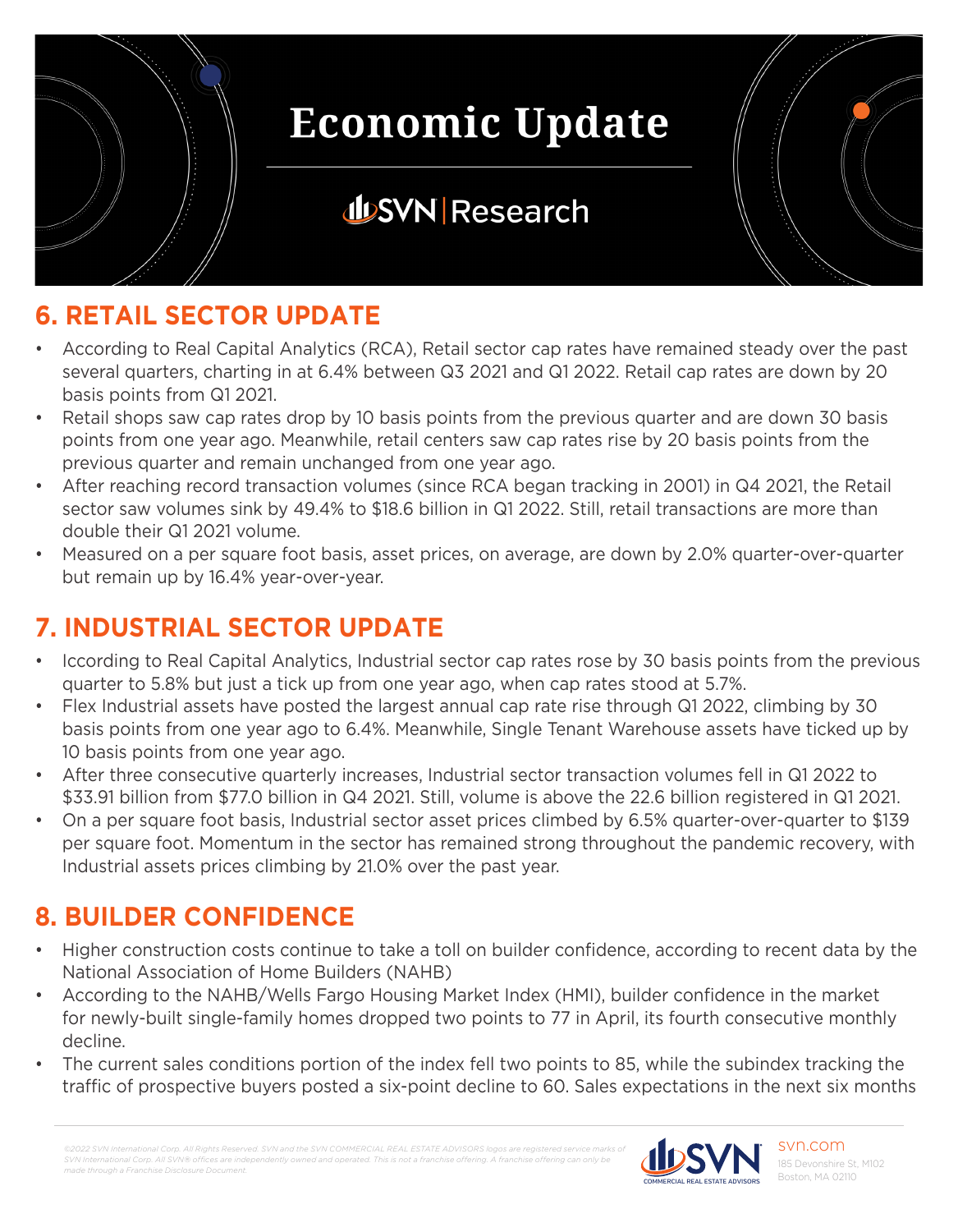

## **JUSVN Research**

### **6. RETAIL SECTOR UPDATE**

- According to Real Capital Analytics (RCA), Retail sector cap rates have remained steady over the past several quarters, charting in at 6.4% between Q3 2021 and Q1 2022. Retail cap rates are down by 20 basis points from Q1 2021.
- Retail shops saw cap rates drop by 10 basis points from the previous quarter and are down 30 basis points from one year ago. Meanwhile, retail centers saw cap rates rise by 20 basis points from the previous quarter and remain unchanged from one year ago.
- After reaching record transaction volumes (since RCA began tracking in 2001) in Q4 2021, the Retail sector saw volumes sink by 49.4% to \$18.6 billion in Q1 2022. Still, retail transactions are more than double their Q1 2021 volume.
- Measured on a per square foot basis, asset prices, on average, are down by 2.0% quarter-over-quarter but remain up by 16.4% year-over-year.

## **7. INDUSTRIAL SECTOR UPDATE**

- Iccording to Real Capital Analytics, Industrial sector cap rates rose by 30 basis points from the previous quarter to 5.8% but just a tick up from one year ago, when cap rates stood at 5.7%.
- Flex Industrial assets have posted the largest annual cap rate rise through Q1 2022, climbing by 30 basis points from one year ago to 6.4%. Meanwhile, Single Tenant Warehouse assets have ticked up by 10 basis points from one year ago.
- After three consecutive quarterly increases, Industrial sector transaction volumes fell in Q1 2022 to \$33.91 billion from \$77.0 billion in Q4 2021. Still, volume is above the 22.6 billion registered in Q1 2021.
- On a per square foot basis, Industrial sector asset prices climbed by 6.5% quarter-over-quarter to \$139 per square foot. Momentum in the sector has remained strong throughout the pandemic recovery, with Industrial assets prices climbing by 21.0% over the past year.

#### **8. BUILDER CONFIDENCE**

- Higher construction costs continue to take a toll on builder confidence, according to recent data by the National Association of Home Builders (NAHB)
- According to the NAHB/Wells Fargo Housing Market Index (HMI), builder confidence in the market for newly-built single-family homes dropped two points to 77 in April, its fourth consecutive monthly decline.
- The current sales conditions portion of the index fell two points to 85, while the subindex tracking the traffic of prospective buyers posted a six-point decline to 60. Sales expectations in the next six months

*©2022 SVN International Corp. All Rights Reserved. SVN and the SVN COMMERCIAL REAL ESTATE ADVISORS logos are registered service marks of SVN International Corp. All SVN® offices are independently owned and operated. This is not a franchise offering. A franchise offering can only be made through a Franchise Disclosure Document.*

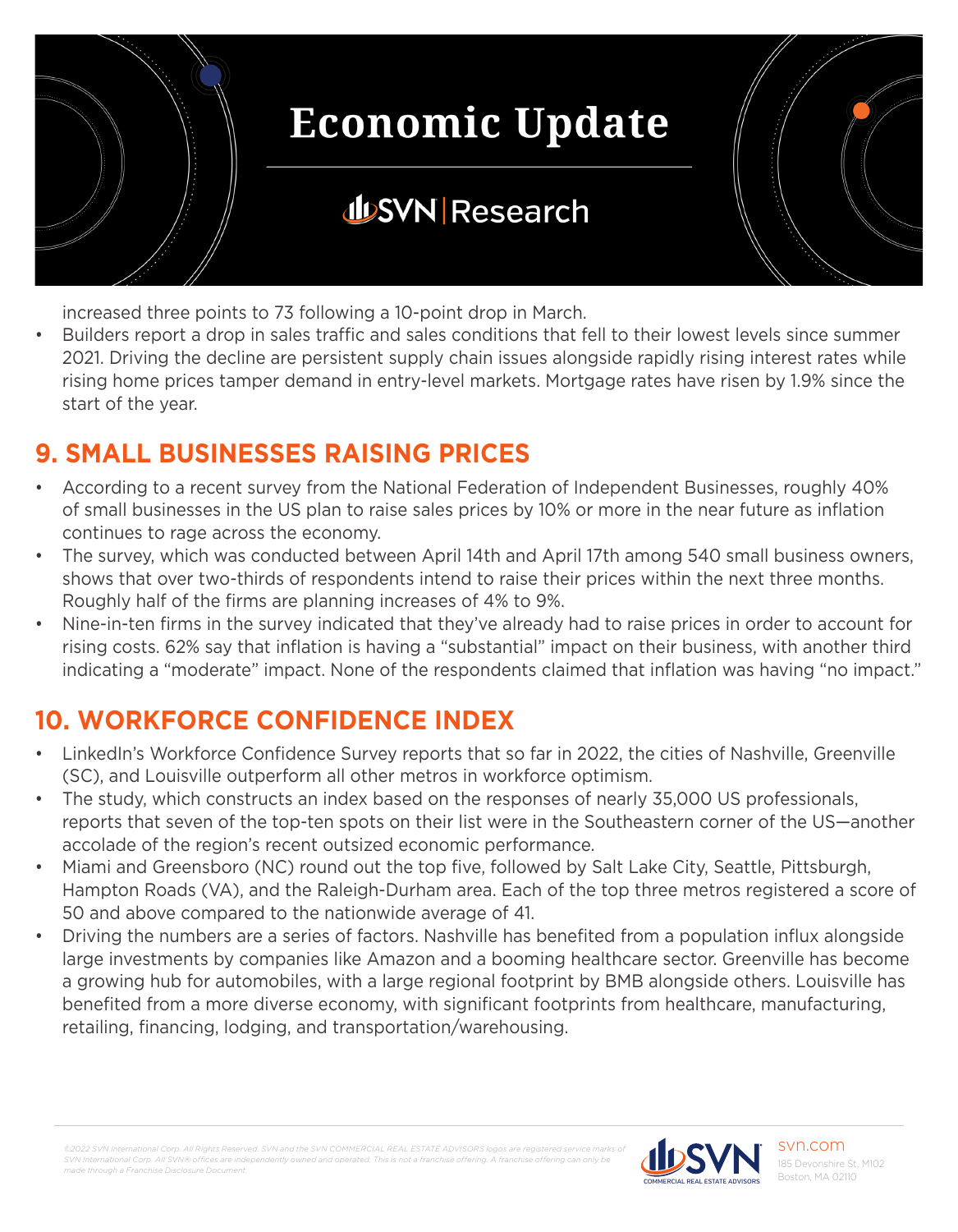

increased three points to 73 following a 10-point drop in March.

• Builders report a drop in sales traffic and sales conditions that fell to their lowest levels since summer 2021. Driving the decline are persistent supply chain issues alongside rapidly rising interest rates while rising home prices tamper demand in entry-level markets. Mortgage rates have risen by 1.9% since the start of the year.

### **9. SMALL BUSINESSES RAISING PRICES**

- According to a recent survey from the National Federation of Independent Businesses, roughly 40% of small businesses in the US plan to raise sales prices by 10% or more in the near future as inflation continues to rage across the economy.
- The survey, which was conducted between April 14th and April 17th among 540 small business owners, shows that over two-thirds of respondents intend to raise their prices within the next three months. Roughly half of the firms are planning increases of 4% to 9%.
- Nine-in-ten firms in the survey indicated that they've already had to raise prices in order to account for rising costs. 62% say that inflation is having a "substantial" impact on their business, with another third indicating a "moderate" impact. None of the respondents claimed that inflation was having "no impact."

## **10. WORKFORCE CONFIDENCE INDEX**

- LinkedIn's Workforce Confidence Survey reports that so far in 2022, the cities of Nashville, Greenville (SC), and Louisville outperform all other metros in workforce optimism.
- The study, which constructs an index based on the responses of nearly 35,000 US professionals, reports that seven of the top-ten spots on their list were in the Southeastern corner of the US—another accolade of the region's recent outsized economic performance.
- Miami and Greensboro (NC) round out the top five, followed by Salt Lake City, Seattle, Pittsburgh, Hampton Roads (VA), and the Raleigh-Durham area. Each of the top three metros registered a score of 50 and above compared to the nationwide average of 41.
- Driving the numbers are a series of factors. Nashville has benefited from a population influx alongside large investments by companies like Amazon and a booming healthcare sector. Greenville has become a growing hub for automobiles, with a large regional footprint by BMB alongside others. Louisville has benefited from a more diverse economy, with significant footprints from healthcare, manufacturing, retailing, financing, lodging, and transportation/warehousing.